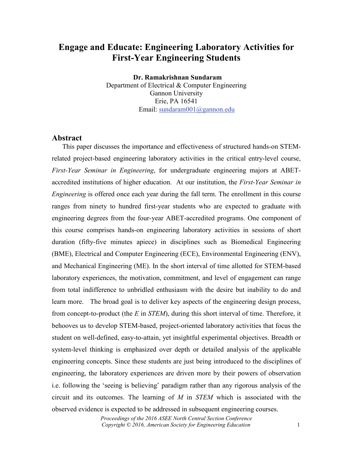# **Engage and Educate: Engineering Laboratory Activities for First-Year Engineering Students**

**Dr. Ramakrishnan Sundaram** Department of Electrical & Computer Engineering Gannon University Erie, PA 16541 Email: [sundaram001@gannon.edu](mailto:sundaram001@gannon.edu)

#### **Abstract**

 This paper discusses the importance and effectiveness of structured hands-on STEMrelated project-based engineering laboratory activities in the critical entry-level course, *First-Year Seminar in Engineering*, for undergraduate engineering majors at ABETaccredited institutions of higher education. At our institution, the *First-Year Seminar in Engineering* is offered once each year during the fall term. The enrollment in this course ranges from ninety to hundred first-year students who are expected to graduate with engineering degrees from the four-year ABET-accredited programs. One component of this course comprises hands-on engineering laboratory activities in sessions of short duration (fifty-five minutes apiece) in disciplines such as Biomedical Engineering (BME), Electrical and Computer Engineering (ECE), Environmental Engineering (ENV), and Mechanical Engineering (ME). In the short interval of time allotted for STEM-based laboratory experiences, the motivation, commitment, and level of engagement can range from total indifference to unbridled enthusiasm with the desire but inability to do and learn more. The broad goal is to deliver key aspects of the engineering design process, from concept-to-product (the *E* in *STEM*), during this short interval of time. Therefore, it behooves us to develop STEM-based, project-oriented laboratory activities that focus the student on well-defined, easy-to-attain, yet insightful experimental objectives. Breadth or system-level thinking is emphasized over depth or detailed analysis of the applicable engineering concepts. Since these students are just being introduced to the disciplines of engineering, the laboratory experiences are driven more by their powers of observation i.e. following the 'seeing is believing' paradigm rather than any rigorous analysis of the circuit and its outcomes. The learning of *M* in *STEM* which is associated with the observed evidence is expected to be addressed in subsequent engineering courses.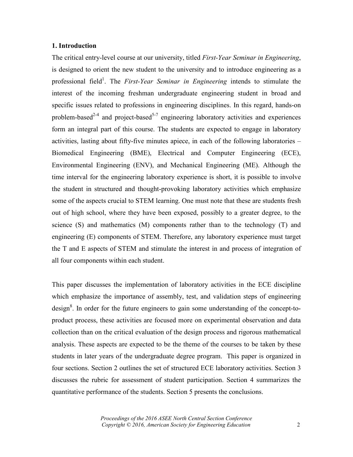### **1. Introduction**

The critical entry-level course at our university, titled *First-Year Seminar in Engineering*, is designed to orient the new student to the university and to introduce engineering as a professional field<sup>1</sup>. The *First-Year Seminar in Engineering* intends to stimulate the interest of the incoming freshman undergraduate engineering student in broad and specific issues related to professions in engineering disciplines. In this regard, hands-on problem-based<sup>2-4</sup> and project-based<sup>5-7</sup> engineering laboratory activities and experiences form an integral part of this course. The students are expected to engage in laboratory activities, lasting about fifty-five minutes apiece, in each of the following laboratories – Biomedical Engineering (BME), Electrical and Computer Engineering (ECE), Environmental Engineering (ENV), and Mechanical Engineering (ME). Although the time interval for the engineering laboratory experience is short, it is possible to involve the student in structured and thought-provoking laboratory activities which emphasize some of the aspects crucial to STEM learning. One must note that these are students fresh out of high school, where they have been exposed, possibly to a greater degree, to the science (S) and mathematics (M) components rather than to the technology (T) and engineering (E) components of STEM. Therefore, any laboratory experience must target the T and E aspects of STEM and stimulate the interest in and process of integration of all four components within each student.

This paper discusses the implementation of laboratory activities in the ECE discipline which emphasize the importance of assembly, test, and validation steps of engineering  $\text{design}^8$ . In order for the future engineers to gain some understanding of the concept-toproduct process, these activities are focused more on experimental observation and data collection than on the critical evaluation of the design process and rigorous mathematical analysis. These aspects are expected to be the theme of the courses to be taken by these students in later years of the undergraduate degree program. This paper is organized in four sections. Section 2 outlines the set of structured ECE laboratory activities. Section 3 discusses the rubric for assessment of student participation. Section 4 summarizes the quantitative performance of the students. Section 5 presents the conclusions.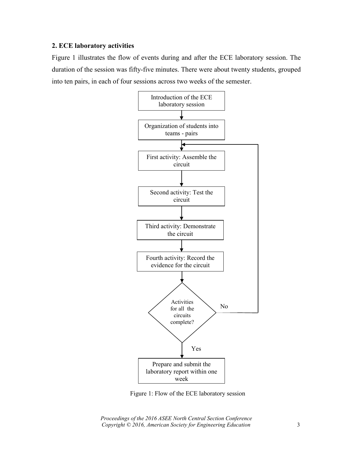### **2. ECE laboratory activities**

Figure 1 illustrates the flow of events during and after the ECE laboratory session. The duration of the session was fifty-five minutes. There were about twenty students, grouped into ten pairs, in each of four sessions across two weeks of the semester.



Figure 1: Flow of the ECE laboratory session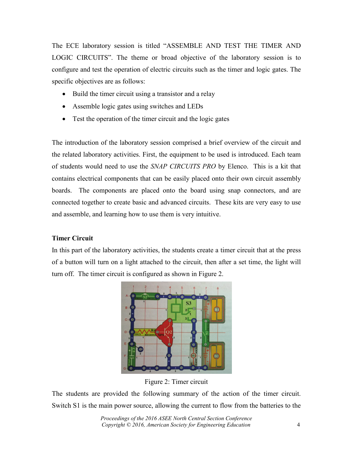The ECE laboratory session is titled "ASSEMBLE AND TEST THE TIMER AND LOGIC CIRCUITS". The theme or broad objective of the laboratory session is to configure and test the operation of electric circuits such as the timer and logic gates. The specific objectives are as follows:

- Build the timer circuit using a transistor and a relay
- Assemble logic gates using switches and LEDs
- Test the operation of the timer circuit and the logic gates

The introduction of the laboratory session comprised a brief overview of the circuit and the related laboratory activities. First, the equipment to be used is introduced. Each team of students would need to use the *SNAP CIRCUITS PRO* by Elenco. This is a kit that contains electrical components that can be easily placed onto their own circuit assembly boards. The components are placed onto the board using snap connectors, and are connected together to create basic and advanced circuits. These kits are very easy to use and assemble, and learning how to use them is very intuitive.

### **Timer Circuit**

In this part of the laboratory activities, the students create a timer circuit that at the press of a button will turn on a light attached to the circuit, then after a set time, the light will turn off. The timer circuit is configured as shown in Figure 2.



Figure 2: Timer circuit

The students are provided the following summary of the action of the timer circuit. Switch S1 is the main power source, allowing the current to flow from the batteries to the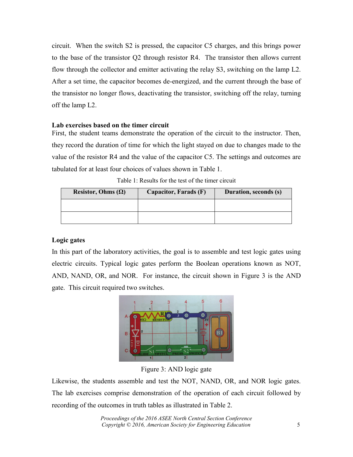circuit. When the switch S2 is pressed, the capacitor C5 charges, and this brings power to the base of the transistor Q2 through resistor R4. The transistor then allows current flow through the collector and emitter activating the relay S3, switching on the lamp L2. After a set time, the capacitor becomes de-energized, and the current through the base of the transistor no longer flows, deactivating the transistor, switching off the relay, turning off the lamp L2.

### **Lab exercises based on the timer circuit**

First, the student teams demonstrate the operation of the circuit to the instructor. Then, they record the duration of time for which the light stayed on due to changes made to the value of the resistor R4 and the value of the capacitor C5. The settings and outcomes are tabulated for at least four choices of values shown in Table 1.

| Resistor, Ohms $(\Omega)$ | Capacitor, Farads (F) | Duration, seconds (s) |  |
|---------------------------|-----------------------|-----------------------|--|
|                           |                       |                       |  |
|                           |                       |                       |  |

### **Logic gates**

In this part of the laboratory activities, the goal is to assemble and test logic gates using electric circuits. Typical logic gates perform the Boolean operations known as NOT, AND, NAND, OR, and NOR. For instance, the circuit shown in Figure 3 is the AND gate. This circuit required two switches.



Figure 3: AND logic gate

Likewise, the students assemble and test the NOT, NAND, OR, and NOR logic gates. The lab exercises comprise demonstration of the operation of each circuit followed by recording of the outcomes in truth tables as illustrated in Table 2.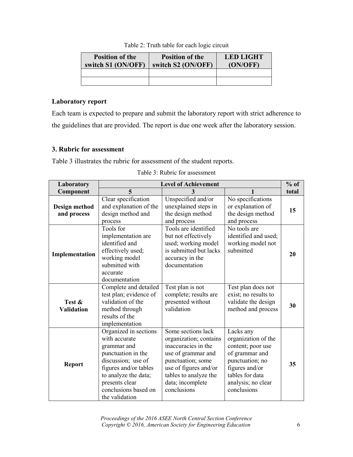| <b>Position of the</b><br>switch S1 (ON/OFF) | <b>Position of the</b><br>switch S2 (ON/OFF) | <b>LED LIGHT</b><br>(ON/OFF) |
|----------------------------------------------|----------------------------------------------|------------------------------|
|                                              |                                              |                              |
|                                              |                                              |                              |

| Table 2: Truth table for each logic circuit |  |  |  |  |
|---------------------------------------------|--|--|--|--|
|                                             |  |  |  |  |
|                                             |  |  |  |  |

## **Laboratory report**

Each team is expected to prepare and submit the laboratory report with strict adherence to the guidelines that are provided. The report is due one week after the laboratory session.

## **3. Rubric for assessment**

Table 3 illustrates the rubric for assessment of the student reports.

| Laboratory                   | <b>Level of Achievement</b>                                                                                                                                                                                    |                                                                                                                                                                                                     |                                                                                                                                                                      |       |
|------------------------------|----------------------------------------------------------------------------------------------------------------------------------------------------------------------------------------------------------------|-----------------------------------------------------------------------------------------------------------------------------------------------------------------------------------------------------|----------------------------------------------------------------------------------------------------------------------------------------------------------------------|-------|
| Component                    | 5                                                                                                                                                                                                              | 3                                                                                                                                                                                                   |                                                                                                                                                                      | total |
| Design method<br>and process | Clear specification<br>and explanation of the<br>design method and<br>process                                                                                                                                  | Unspecified and/or<br>unexplained steps in<br>the design method<br>and process                                                                                                                      | No specifications<br>or explanation of<br>the design method<br>and process                                                                                           | 15    |
| Implementation               | Tools for<br>implementation are<br>identified and<br>effectively used;<br>working model<br>submitted with<br>accurate<br>documentation                                                                         | Tools are identified<br>but not effectively<br>used; working model<br>is submitted but lacks<br>accuracy in the<br>documentation                                                                    | No tools are<br>identified and used;<br>working model not<br>submitted                                                                                               | 20    |
| Test &<br><b>Validation</b>  | Complete and detailed<br>test plan; evidence of<br>validation of the<br>method through<br>results of the<br>implementation                                                                                     | Test plan is not<br>complete; results are<br>presented without<br>validation                                                                                                                        | Test plan does not<br>exist; no results to<br>validate the design<br>method and process                                                                              | 30    |
| <b>Report</b>                | Organized in sections<br>with accurate<br>grammar and<br>punctuation in the<br>discussion; use of<br>figures and/or tables<br>to analyze the data;<br>presents clear<br>conclusions based on<br>the validation | Some sections lack<br>organization; contains<br>inaccuracies in the<br>use of grammar and<br>punctuation; some<br>use of figures and/or<br>tables to analyze the<br>data; incomplete<br>conclusions | Lacks any<br>organization of the<br>content; poor use<br>of grammar and<br>punctuation; no<br>figures and/or<br>tables for data<br>analysis; no clear<br>conclusions | 35    |

Table 3: Rubric for assessment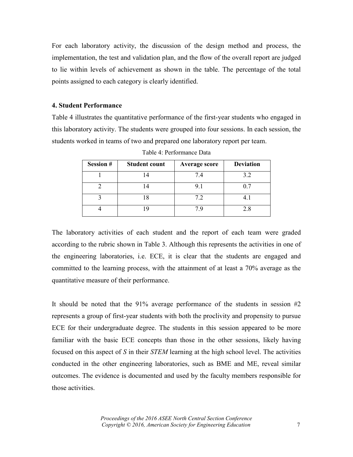For each laboratory activity, the discussion of the design method and process, the implementation, the test and validation plan, and the flow of the overall report are judged to lie within levels of achievement as shown in the table. The percentage of the total points assigned to each category is clearly identified.

#### **4. Student Performance**

Table 4 illustrates the quantitative performance of the first-year students who engaged in this laboratory activity. The students were grouped into four sessions. In each session, the students worked in teams of two and prepared one laboratory report per team.

| <b>Session #</b> | <b>Student count</b> | <b>Average score</b> | <b>Deviation</b> |
|------------------|----------------------|----------------------|------------------|
|                  |                      | 7.4                  | 3.2              |
|                  |                      | 9.1                  | 0.7              |
|                  |                      | 7.2                  |                  |
|                  |                      | 7 Q                  | 2.8              |

Table 4: Performance Data

The laboratory activities of each student and the report of each team were graded according to the rubric shown in Table 3. Although this represents the activities in one of the engineering laboratories, i.e. ECE, it is clear that the students are engaged and committed to the learning process, with the attainment of at least a 70% average as the quantitative measure of their performance.

It should be noted that the 91% average performance of the students in session #2 represents a group of first-year students with both the proclivity and propensity to pursue ECE for their undergraduate degree. The students in this session appeared to be more familiar with the basic ECE concepts than those in the other sessions, likely having focused on this aspect of *S* in their *STEM* learning at the high school level. The activities conducted in the other engineering laboratories, such as BME and ME, reveal similar outcomes. The evidence is documented and used by the faculty members responsible for those activities.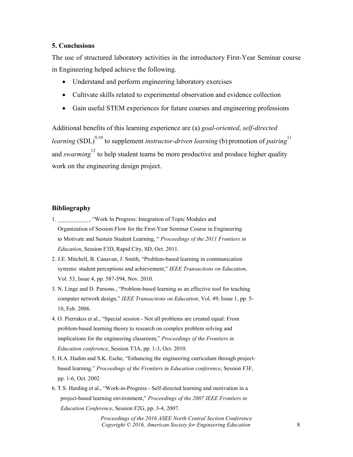#### **5. Conclusions**

The use of structured laboratory activities in the introductory First-Year Seminar course in Engineering helped achieve the following.

- Understand and perform engineering laboratory exercises
- Cultivate skills related to experimental observation and evidence collection
- Gain useful STEM experiences for future courses and engineering professions

Additional benefits of this learning experience are (a) *goal-oriented*, *self-directed learning* (SDL)<sup>9,10</sup> to supplement *instructor-driven learning* (b) promotion of *pairing*<sup>11</sup> and *swarming*<sup>12</sup> to help student teams be more productive and produce higher quality work on the engineering design project.

#### **Bibliography**

- 1. \_\_\_\_\_\_\_\_\_, "Work In Progress: Integration of Topic Modules and Organization of Session Flow for the First-Year Seminar Course in Engineering to Motivate and Sustain Student Learning, " *Proceedings of the 2011 Frontiers in Education*, Session F3D, Rapid City, SD, Oct. 2011.
- 2. J.E. Mitchell, B. Canavan, J. Smith, "Problem-based learning in communication systems: student perceptions and achievement," *IEEE Transactions on Education*, Vol. 53, Issue 4, pp. 587-594, Nov. 2010.
- 3. N. Linge and D. Parsons., "Problem-based learning as an effective tool for teaching computer network design," *IEEE Transactions on Education*, Vol. 49, Issue 1, pp. 5- 10, Feb. 2006.
- 4. O. Pierrakos et al., "Special session Not all problems are created equal: From problem-based learning theory to research on complex problem solving and implications for the engineering classroom," *Proceedings of the Frontiers in Education conference*, Session T3A, pp. 1-3, Oct. 2010.
- 5. H.A. Hadim and S.K. Esche, "Enhancing the engineering curriculum through project based learning*,*" *Proceedings of the Frontiers in Education conference*, Session F3F, pp. 1-6, Oct. 2002
- 6. T.S. Harding et al., "Work-in-Progress Self-directed learning and motivation in a project-based learning environment," *Proceedings of the 2007 IEEE Frontiers in Education Conference*, Session F2G, pp. 3-4, 2007.